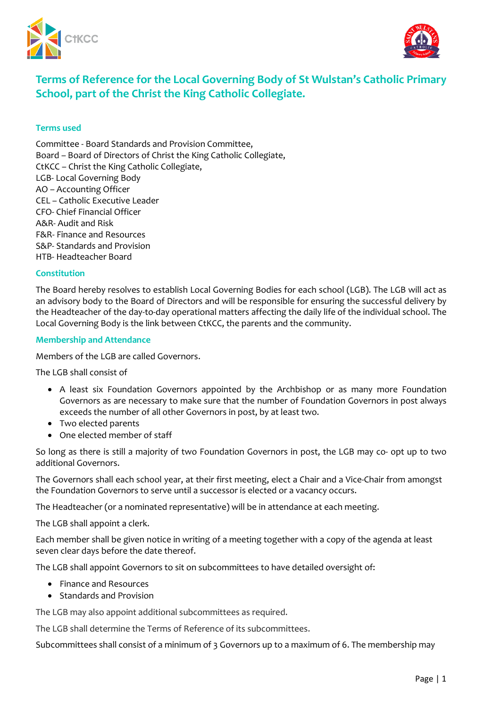



# **Terms of Reference for the Local Governing Body of St Wulstan's Catholic Primary School, part of the Christ the King Catholic Collegiate.**

### **Terms used**

Committee - Board Standards and Provision Committee, Board – Board of Directors of Christ the King Catholic Collegiate, CtKCC – Christ the King Catholic Collegiate, LGB- Local Governing Body AO – Accounting Officer CEL – Catholic Executive Leader CFO- Chief Financial Officer A&R- Audit and Risk F&R- Finance and Resources S&P- Standards and Provision HTB- Headteacher Board

#### **Constitution**

The Board hereby resolves to establish Local Governing Bodies for each school (LGB). The LGB will act as an advisory body to the Board of Directors and will be responsible for ensuring the successful delivery by the Headteacher of the day-to-day operational matters affecting the daily life of the individual school. The Local Governing Body is the link between CtKCC, the parents and the community.

#### **Membership and Attendance**

Members of the LGB are called Governors.

The LGB shall consist of

- A least six Foundation Governors appointed by the Archbishop or as many more Foundation Governors as are necessary to make sure that the number of Foundation Governors in post always exceeds the number of all other Governors in post, by at least two.
- Two elected parents
- One elected member of staff

So long as there is still a majority of two Foundation Governors in post, the LGB may co- opt up to two additional Governors.

The Governors shall each school year, at their first meeting, elect a Chair and a Vice-Chair from amongst the Foundation Governors to serve until a successor is elected or a vacancy occurs.

The Headteacher (or a nominated representative) will be in attendance at each meeting.

The LGB shall appoint a clerk.

Each member shall be given notice in writing of a meeting together with a copy of the agenda at least seven clear days before the date thereof.

The LGB shall appoint Governors to sit on subcommittees to have detailed oversight of:

- Finance and Resources
- Standards and Provision

The LGB may also appoint additional subcommittees as required.

The LGB shall determine the Terms of Reference of its subcommittees.

Subcommittees shall consist of a minimum of 3 Governors up to a maximum of 6. The membership may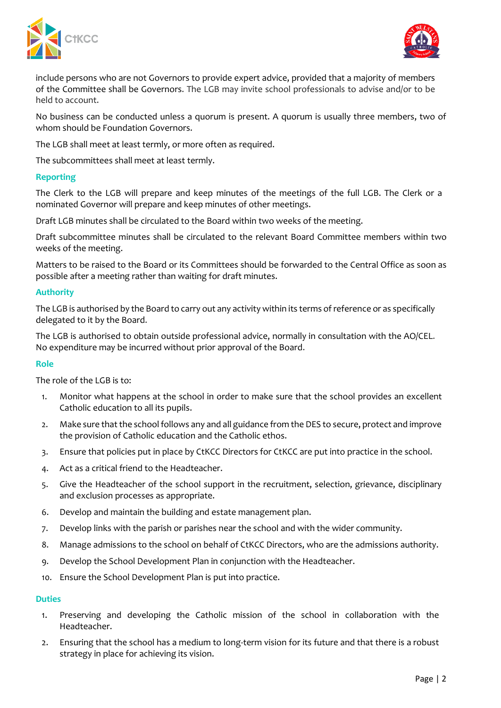



include persons who are not Governors to provide expert advice, provided that a majority of members of the Committee shall be Governors. The LGB may invite school professionals to advise and/or to be held to account.

No business can be conducted unless a quorum is present. A quorum is usually three members, two of whom should be Foundation Governors.

The LGB shall meet at least termly, or more often as required.

The subcommittees shall meet at least termly.

#### **Reporting**

The Clerk to the LGB will prepare and keep minutes of the meetings of the full LGB. The Clerk or a nominated Governor will prepare and keep minutes of other meetings.

Draft LGB minutes shall be circulated to the Board within two weeks of the meeting.

Draft subcommittee minutes shall be circulated to the relevant Board Committee members within two weeks of the meeting.

Matters to be raised to the Board or its Committees should be forwarded to the Central Office as soon as possible after a meeting rather than waiting for draft minutes.

## **Authority**

The LGB is authorised by the Board to carry out any activity within its terms of reference or as specifically delegated to it by the Board.

The LGB is authorised to obtain outside professional advice, normally in consultation with the AO/CEL. No expenditure may be incurred without prior approval of the Board.

#### **Role**

The role of the LGB is to:

- 1. Monitor what happens at the school in order to make sure that the school provides an excellent Catholic education to all its pupils.
- 2. Make sure that the school follows any and all guidance from the DES to secure, protect and improve the provision of Catholic education and the Catholic ethos.
- 3. Ensure that policies put in place by CtKCC Directors for CtKCC are put into practice in the school.
- 4. Act as a critical friend to the Headteacher.
- 5. Give the Headteacher of the school support in the recruitment, selection, grievance, disciplinary and exclusion processes as appropriate.
- 6. Develop and maintain the building and estate management plan.
- 7. Develop links with the parish or parishes near the school and with the wider community.
- 8. Manage admissions to the school on behalf of CtKCC Directors, who are the admissions authority.
- 9. Develop the School Development Plan in conjunction with the Headteacher.
- 10. Ensure the School Development Plan is put into practice.

#### **Duties**

- 1. Preserving and developing the Catholic mission of the school in collaboration with the Headteacher.
- 2. Ensuring that the school has a medium to long-term vision for its future and that there is a robust strategy in place for achieving its vision.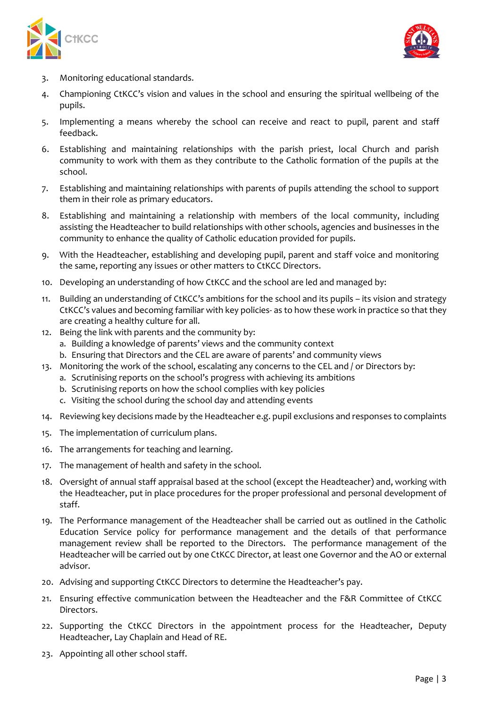



- 3. Monitoring educational standards.
- 4. Championing CtKCC's vision and values in the school and ensuring the spiritual wellbeing of the pupils.
- 5. Implementing a means whereby the school can receive and react to pupil, parent and staff feedback.
- 6. Establishing and maintaining relationships with the parish priest, local Church and parish community to work with them as they contribute to the Catholic formation of the pupils at the school.
- 7. Establishing and maintaining relationships with parents of pupils attending the school to support them in their role as primary educators.
- 8. Establishing and maintaining a relationship with members of the local community, including assisting the Headteacher to build relationships with other schools, agencies and businesses in the community to enhance the quality of Catholic education provided for pupils.
- 9. With the Headteacher, establishing and developing pupil, parent and staff voice and monitoring the same, reporting any issues or other matters to CtKCC Directors.
- 10. Developing an understanding of how CtKCC and the school are led and managed by:
- 11. Building an understanding of CtKCC's ambitions for the school and its pupils its vision and strategy CtKCC's values and becoming familiar with key policies- as to how these work in practice so that they are creating a healthy culture for all.
- 12. Being the link with parents and the community by:
	- a. Building a knowledge of parents' views and the community context
	- b. Ensuring that Directors and the CEL are aware of parents' and community views
- 13. Monitoring the work of the school, escalating any concerns to the CEL and / or Directors by:
	- a. Scrutinising reports on the school's progress with achieving its ambitions
	- b. Scrutinising reports on how the school complies with key policies
	- c. Visiting the school during the school day and attending events
- 14. Reviewing key decisions made by the Headteacher e.g. pupil exclusions and responses to complaints
- 15. The implementation of curriculum plans.
- 16. The arrangements for teaching and learning.
- 17. The management of health and safety in the school.
- 18. Oversight of annual staff appraisal based at the school (except the Headteacher) and, working with the Headteacher, put in place procedures for the proper professional and personal development of staff.
- 19. The Performance management of the Headteacher shall be carried out as outlined in the Catholic Education Service policy for performance management and the details of that performance management review shall be reported to the Directors. The performance management of the Headteacher will be carried out by one CtKCC Director, at least one Governor and the AO or external advisor.
- 20. Advising and supporting CtKCC Directors to determine the Headteacher's pay.
- 21. Ensuring effective communication between the Headteacher and the F&R Committee of CtKCC Directors.
- 22. Supporting the CtKCC Directors in the appointment process for the Headteacher, Deputy Headteacher, Lay Chaplain and Head of RE.
- 23. Appointing all other school staff.